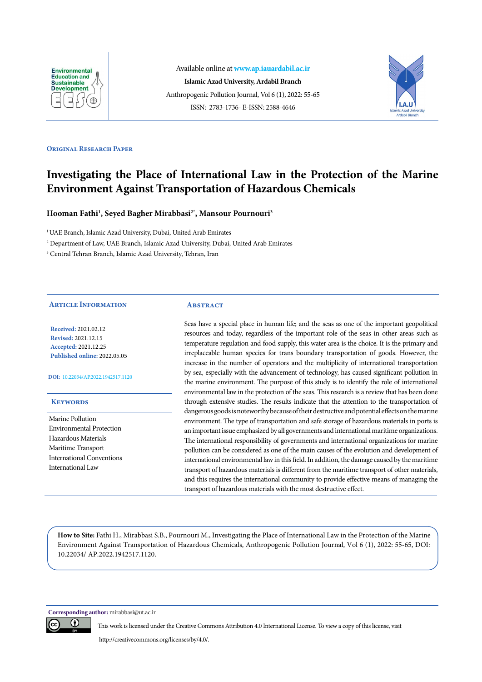

Available online at **[www.ap.iauardabil.ac.ir](http://ap.iauardabil.ac.ir/) Islamic Azad University, Ardabil Branch** Anthropogenic Pollution Journal, Vol 6 (1), 2022: 55-65 ISSN: 2783-1736- E-ISSN: 2588-4646



#### **ORIGINAL RESEARCH PAPER**

# **Investigating the Place of International Law in the Protection of the Marine Environment Against Transportation of Hazardous Chemicals**

**Hooman Fathi1 , Seyed Bagher Mirabbasi2\*, Mansour Pournouri3**

<sup>1</sup> UAE Branch, Islamic Azad University, Dubai, United Arab Emirates

2 Department of Law, UAE Branch, Islamic Azad University, Dubai, United Arab Emirates

3 Central Tehran Branch, Islamic Azad University, Tehran, Iran

## **Article Information**

**Received:** 2021.02.12 **Revised:** 2021.12.15 **Accepted:** 2021.12.25 **Published online:** 2022.05.05

**DOI:** [10.22034/AP.2022.1942517.1120](http://ap.iauardabil.ac.ir/article_687639.html)

#### **Keywords**

Marine Pollution Environmental Protection Hazardous Materials Maritime Transport International Conventions International Law

#### **ABSTRACT**

Seas have a special place in human life; and the seas as one of the important geopolitical resources and today, regardless of the important role of the seas in other areas such as temperature regulation and food supply, this water area is the choice. It is the primary and irreplaceable human species for trans boundary transportation of goods. However, the increase in the number of operators and the multiplicity of international transportation by sea, especially with the advancement of technology, has caused significant pollution in the marine environment. The purpose of this study is to identify the role of international environmental law in the protection of the seas. This research is a review that has been done through extensive studies. The results indicate that the attention to the transportation of dangerous goods is noteworthy because of their destructive and potential effects on the marine environment. The type of transportation and safe storage of hazardous materials in ports is an important issue emphasized by all governments and international maritime organizations. The international responsibility of governments and international organizations for marine pollution can be considered as one of the main causes of the evolution and development of international environmental law in this field. In addition, the damage caused by the maritime transport of hazardous materials is different from the maritime transport of other materials, and this requires the international community to provide effective means of managing the transport of hazardous materials with the most destructive effect.

**How to Site:** Fathi H., Mirabbasi S.B., Pournouri M., Investigating the Place of International Law in the Protection of the Marine Environment Against Transportation of Hazardous Chemicals, Anthropogenic Pollution Journal, Vol 6 (1), 2022: 55-65, DOI: 10.22034/ AP.2022.1942517.1120.

**Corresponding author:** mirabbasi@ut.ac.ir



This work is licensed under the Creative Commons Attribution 4.0 International License. To view a copy of this license, visit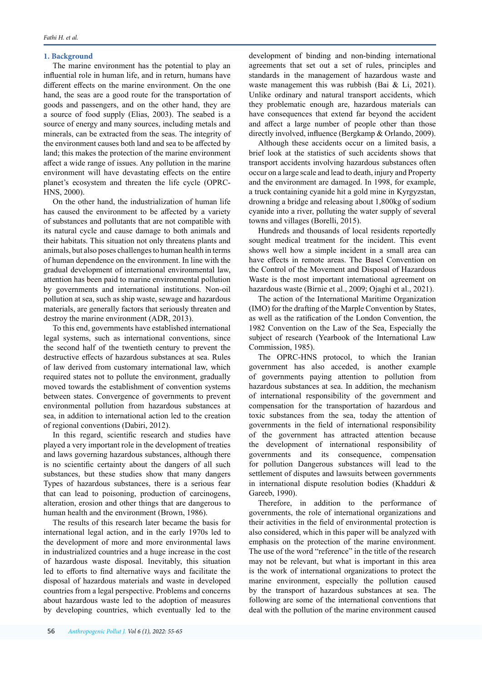## **1. Background**

The marine environment has the potential to play an influential role in human life, and in return, humans have different effects on the marine environment. On the one hand, the seas are a good route for the transportation of goods and passengers, and on the other hand, they are a source of food supply (Elias, 2003). The seabed is a source of energy and many sources, including metals and minerals, can be extracted from the seas. The integrity of the environment causes both land and sea to be affected by land; this makes the protection of the marine environment affect a wide range of issues. Any pollution in the marine environment will have devastating effects on the entire planet's ecosystem and threaten the life cycle (OPRC-HNS, 2000).

On the other hand, the industrialization of human life has caused the environment to be affected by a variety of substances and pollutants that are not compatible with its natural cycle and cause damage to both animals and their habitats. This situation not only threatens plants and animals, but also poses challenges to human health in terms of human dependence on the environment. In line with the gradual development of international environmental law, attention has been paid to marine environmental pollution by governments and international institutions. Non-oil pollution at sea, such as ship waste, sewage and hazardous materials, are generally factors that seriously threaten and destroy the marine environment (ADR, 2013).

To this end, governments have established international legal systems, such as international conventions, since the second half of the twentieth century to prevent the destructive effects of hazardous substances at sea. Rules of law derived from customary international law, which required states not to pollute the environment, gradually moved towards the establishment of convention systems between states. Convergence of governments to prevent environmental pollution from hazardous substances at sea, in addition to international action led to the creation of regional conventions (Dabiri, 2012).

In this regard, scientific research and studies have played a very important role in the development of treaties and laws governing hazardous substances, although there is no scientific certainty about the dangers of all such substances, but these studies show that many dangers Types of hazardous substances, there is a serious fear that can lead to poisoning, production of carcinogens, alteration, erosion and other things that are dangerous to human health and the environment (Brown, 1986).

The results of this research later became the basis for international legal action, and in the early 1970s led to the development of more and more environmental laws in industrialized countries and a huge increase in the cost of hazardous waste disposal. Inevitably, this situation led to efforts to find alternative ways and facilitate the disposal of hazardous materials and waste in developed countries from a legal perspective. Problems and concerns about hazardous waste led to the adoption of measures by developing countries, which eventually led to the development of binding and non-binding international agreements that set out a set of rules, principles and standards in the management of hazardous waste and waste management this was rubbish (Bai & Li, 2021). Unlike ordinary and natural transport accidents, which they problematic enough are, hazardous materials can have consequences that extend far beyond the accident and affect a large number of people other than those directly involved, influence (Bergkamp & Orlando, 2009).

Although these accidents occur on a limited basis, a brief look at the statistics of such accidents shows that transport accidents involving hazardous substances often occur on a large scale and lead to death, injury and Property and the environment are damaged. In 1998, for example, a truck containing cyanide hit a gold mine in Kyrgyzstan, drowning a bridge and releasing about 1,800kg of sodium cyanide into a river, polluting the water supply of several towns and villages (Borelli, 2015).

Hundreds and thousands of local residents reportedly sought medical treatment for the incident. This event shows well how a simple incident in a small area can have effects in remote areas. The Basel Convention on the Control of the Movement and Disposal of Hazardous Waste is the most important international agreement on hazardous waste (Birnie et al., 2009; Ojaghi et al., 2021).

The action of the International Maritime Organization (IMO) for the drafting of the Marple Convention by States, as well as the ratification of the London Convention, the 1982 Convention on the Law of the Sea, Especially the subject of research (Yearbook of the International Law Commission, 1985).

The OPRC-HNS protocol, to which the Iranian government has also acceded, is another example of governments paying attention to pollution from hazardous substances at sea. In addition, the mechanism of international responsibility of the government and compensation for the transportation of hazardous and toxic substances from the sea, today the attention of governments in the field of international responsibility of the government has attracted attention because the development of international responsibility of governments and its consequence, compensation for pollution Dangerous substances will lead to the settlement of disputes and lawsuits between governments in international dispute resolution bodies (Khadduri & Gareeb, 1990).

Therefore, in addition to the performance of governments, the role of international organizations and their activities in the field of environmental protection is also considered, which in this paper will be analyzed with emphasis on the protection of the marine environment. The use of the word "reference" in the title of the research may not be relevant, but what is important in this area is the work of international organizations to protect the marine environment, especially the pollution caused by the transport of hazardous substances at sea. The following are some of the international conventions that deal with the pollution of the marine environment caused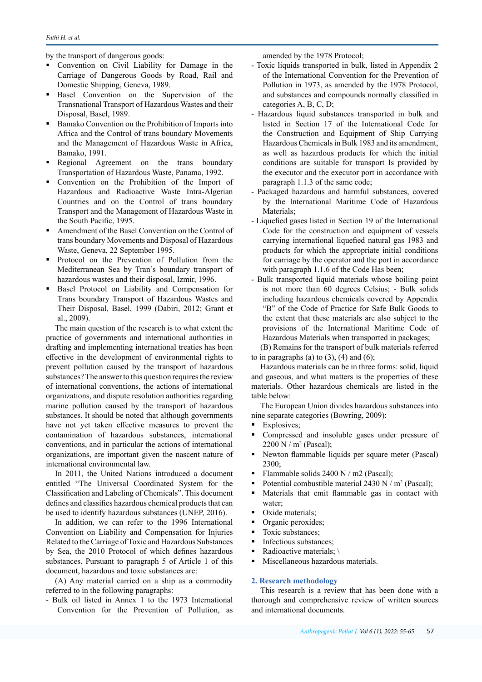by the transport of dangerous goods:

- Convention on Civil Liability for Damage in the Carriage of Dangerous Goods by Road, Rail and Domestic Shipping, Geneva, 1989.
- Basel Convention on the Supervision of the Transnational Transport of Hazardous Wastes and their Disposal, Basel, 1989.
- Bamako Convention on the Prohibition of Imports into Africa and the Control of trans boundary Movements and the Management of Hazardous Waste in Africa, Bamako, 1991.
- Regional Agreement on the trans boundary Transportation of Hazardous Waste, Panama, 1992.
- Convention on the Prohibition of the Import of Hazardous and Radioactive Waste Intra-Algerian Countries and on the Control of trans boundary Transport and the Management of Hazardous Waste in the South Pacific, 1995.
- Amendment of the Basel Convention on the Control of trans boundary Movements and Disposal of Hazardous Waste, Geneva, 22 September 1995.
- Protocol on the Prevention of Pollution from the Mediterranean Sea by Tran's boundary transport of hazardous wastes and their disposal, Izmir, 1996.
- Basel Protocol on Liability and Compensation for Trans boundary Transport of Hazardous Wastes and Their Disposal, Basel, 1999 (Dabiri, 2012; Grant et al., 2009).

The main question of the research is to what extent the practice of governments and international authorities in drafting and implementing international treaties has been effective in the development of environmental rights to prevent pollution caused by the transport of hazardous substances? The answer to this question requires the review of international conventions, the actions of international organizations, and dispute resolution authorities regarding marine pollution caused by the transport of hazardous substances. It should be noted that although governments have not yet taken effective measures to prevent the contamination of hazardous substances, international conventions, and in particular the actions of international organizations, are important given the nascent nature of international environmental law.

In 2011, the United Nations introduced a document entitled "The Universal Coordinated System for the Classification and Labeling of Chemicals". This document defines and classifies hazardous chemical products that can be used to identify hazardous substances (UNEP, 2016).

In addition, we can refer to the 1996 International Convention on Liability and Compensation for Injuries Related to the Carriage of Toxic and Hazardous Substances by Sea, the 2010 Protocol of which defines hazardous substances. Pursuant to paragraph 5 of Article 1 of this document, hazardous and toxic substances are:

(A) Any material carried on a ship as a commodity referred to in the following paragraphs:

- Bulk oil listed in Annex 1 to the 1973 International Convention for the Prevention of Pollution, as amended by the 1978 Protocol;

- Toxic liquids transported in bulk, listed in Appendix 2 of the International Convention for the Prevention of Pollution in 1973, as amended by the 1978 Protocol, and substances and compounds normally classified in categories A, B, C, D;
- Hazardous liquid substances transported in bulk and listed in Section 17 of the International Code for the Construction and Equipment of Ship Carrying Hazardous Chemicals in Bulk 1983 and its amendment, as well as hazardous products for which the initial conditions are suitable for transport Is provided by the executor and the executor port in accordance with paragraph 1.1.3 of the same code;
- Packaged hazardous and harmful substances, covered by the International Maritime Code of Hazardous Materials;
- Liquefied gases listed in Section 19 of the International Code for the construction and equipment of vessels carrying international liquefied natural gas 1983 and products for which the appropriate initial conditions for carriage by the operator and the port in accordance with paragraph 1.1.6 of the Code Has been;
- Bulk transported liquid materials whose boiling point is not more than 60 degrees Celsius; - Bulk solids including hazardous chemicals covered by Appendix "B" of the Code of Practice for Safe Bulk Goods to the extent that these materials are also subject to the provisions of the International Maritime Code of Hazardous Materials when transported in packages;

(B) Remains for the transport of bulk materials referred to in paragraphs (a) to  $(3)$ ,  $(4)$  and  $(6)$ ;

Hazardous materials can be in three forms: solid, liquid and gaseous, and what matters is the properties of these materials. Other hazardous chemicals are listed in the table below:

The European Union divides hazardous substances into nine separate categories (Bowring, 2009):

- **Explosives**;
- Compressed and insoluble gases under pressure of 2200 N / m2 (Pascal);
- Newton flammable liquids per square meter (Pascal) 2300;
- Flammable solids 2400 N / m2 (Pascal);
- Potential combustible material  $2430 \text{ N/m}^2$  (Pascal);
- **Materials that emit flammable gas in contact with** water;
- Oxide materials;
- Organic peroxides;
- Toxic substances;
- Infectious substances;
- Radioactive materials;  $\setminus$
- **Miscellaneous hazardous materials.**

## **2. Research methodology**

This research is a review that has been done with a thorough and comprehensive review of written sources and international documents.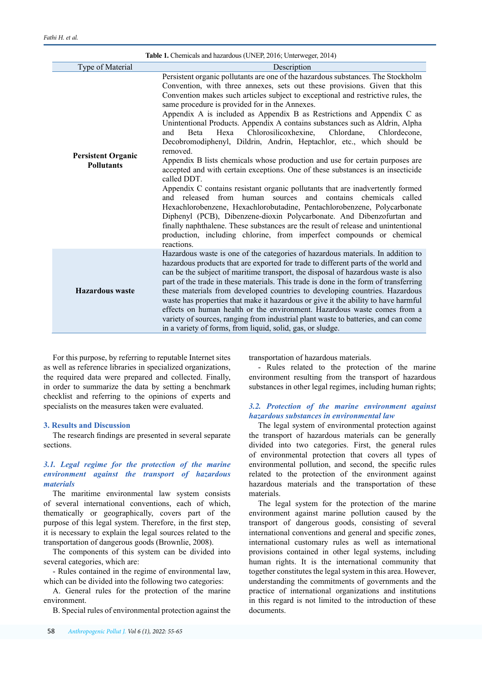| Table 1. Chemicals and hazardous (UNEP, 2016; Unterweger, 2014) |                                                                                                                                                                                                                                                                                                                                                                                                                                                                                                                                                                                                                                                                                                                                                                                                                                                                                                                                                                                                                                                                                                                                                                                                                                                                                                       |  |
|-----------------------------------------------------------------|-------------------------------------------------------------------------------------------------------------------------------------------------------------------------------------------------------------------------------------------------------------------------------------------------------------------------------------------------------------------------------------------------------------------------------------------------------------------------------------------------------------------------------------------------------------------------------------------------------------------------------------------------------------------------------------------------------------------------------------------------------------------------------------------------------------------------------------------------------------------------------------------------------------------------------------------------------------------------------------------------------------------------------------------------------------------------------------------------------------------------------------------------------------------------------------------------------------------------------------------------------------------------------------------------------|--|
| Type of Material                                                | Description                                                                                                                                                                                                                                                                                                                                                                                                                                                                                                                                                                                                                                                                                                                                                                                                                                                                                                                                                                                                                                                                                                                                                                                                                                                                                           |  |
| <b>Persistent Organic</b><br><b>Pollutants</b>                  | Persistent organic pollutants are one of the hazardous substances. The Stockholm<br>Convention, with three annexes, sets out these provisions. Given that this<br>Convention makes such articles subject to exceptional and restrictive rules, the<br>same procedure is provided for in the Annexes.<br>Appendix A is included as Appendix B as Restrictions and Appendix C as<br>Unintentional Products. Appendix A contains substances such as Aldrin, Alpha<br>Chlorosilicoxhexine,<br>Chlordane,<br>and<br>Beta<br>Hexa<br>Chlordecone,<br>Decobromodiphenyl, Dildrin, Andrin, Heptachlor, etc., which should be<br>removed.<br>Appendix B lists chemicals whose production and use for certain purposes are<br>accepted and with certain exceptions. One of these substances is an insecticide<br>called DDT.<br>Appendix C contains resistant organic pollutants that are inadvertently formed<br>and released from human sources and contains chemicals called<br>Hexachlorobenzene, Hexachlorobutadine, Pentachlorobenzene, Polycarbonate<br>Diphenyl (PCB), Dibenzene-dioxin Polycarbonate. And Dibenzofurtan and<br>finally naphthalene. These substances are the result of release and unintentional<br>production, including chlorine, from imperfect compounds or chemical<br>reactions. |  |
| <b>Hazardous</b> waste                                          | Hazardous waste is one of the categories of hazardous materials. In addition to<br>hazardous products that are exported for trade to different parts of the world and<br>can be the subject of maritime transport, the disposal of hazardous waste is also<br>part of the trade in these materials. This trade is done in the form of transferring<br>these materials from developed countries to developing countries. Hazardous<br>waste has properties that make it hazardous or give it the ability to have harmful<br>effects on human health or the environment. Hazardous waste comes from a<br>variety of sources, ranging from industrial plant waste to batteries, and can come<br>in a variety of forms, from liquid, solid, gas, or sludge.                                                                                                                                                                                                                                                                                                                                                                                                                                                                                                                                               |  |

For this purpose, by referring to reputable Internet sites as well as reference libraries in specialized organizations, the required data were prepared and collected. Finally, in order to summarize the data by setting a benchmark checklist and referring to the opinions of experts and specialists on the measures taken were evaluated.

## **3. Results and Discussion**

The research findings are presented in several separate sections.

# *3.1. Legal regime for the protection of the marine environment against the transport of hazardous materials*

The maritime environmental law system consists of several international conventions, each of which, thematically or geographically, covers part of the purpose of this legal system. Therefore, in the first step, it is necessary to explain the legal sources related to the transportation of dangerous goods (Brownlie, 2008).

The components of this system can be divided into several categories, which are:

- Rules contained in the regime of environmental law, which can be divided into the following two categories:

A. General rules for the protection of the marine environment.

B. Special rules of environmental protection against the

transportation of hazardous materials.

- Rules related to the protection of the marine environment resulting from the transport of hazardous substances in other legal regimes, including human rights;

# *3.2. Protection of the marine environment against hazardous substances in environmental law*

The legal system of environmental protection against the transport of hazardous materials can be generally divided into two categories. First, the general rules of environmental protection that covers all types of environmental pollution, and second, the specific rules related to the protection of the environment against hazardous materials and the transportation of these materials.

The legal system for the protection of the marine environment against marine pollution caused by the transport of dangerous goods, consisting of several international conventions and general and specific zones, international customary rules as well as international provisions contained in other legal systems, including human rights. It is the international community that together constitutes the legal system in this area. However, understanding the commitments of governments and the practice of international organizations and institutions in this regard is not limited to the introduction of these documents.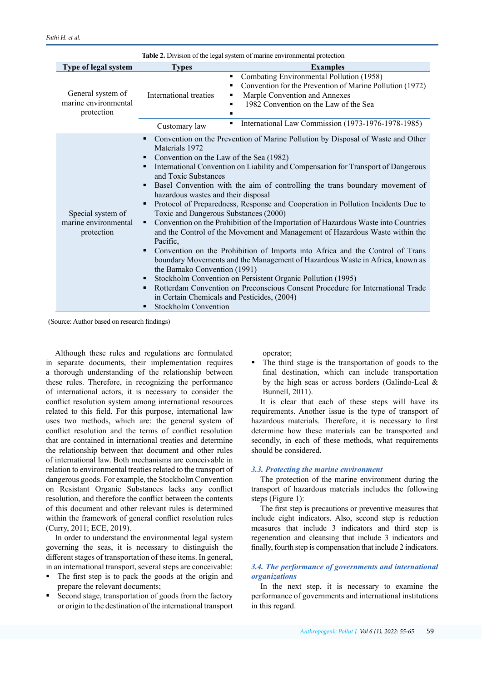| Table 2. Division of the legal system of marine environmental protection |                                                                                                                                                                                                                                                                                                                                                                                                                                                                                                                                                                                                                                                                                                                                                                                                                                                                                                                                                                                                                                                               |                                                                                                                                                                                                                                                     |  |
|--------------------------------------------------------------------------|---------------------------------------------------------------------------------------------------------------------------------------------------------------------------------------------------------------------------------------------------------------------------------------------------------------------------------------------------------------------------------------------------------------------------------------------------------------------------------------------------------------------------------------------------------------------------------------------------------------------------------------------------------------------------------------------------------------------------------------------------------------------------------------------------------------------------------------------------------------------------------------------------------------------------------------------------------------------------------------------------------------------------------------------------------------|-----------------------------------------------------------------------------------------------------------------------------------------------------------------------------------------------------------------------------------------------------|--|
| Type of legal system                                                     | <b>Types</b>                                                                                                                                                                                                                                                                                                                                                                                                                                                                                                                                                                                                                                                                                                                                                                                                                                                                                                                                                                                                                                                  | <b>Examples</b>                                                                                                                                                                                                                                     |  |
| General system of<br>marine environmental<br>protection                  | International treaties<br>Customary law                                                                                                                                                                                                                                                                                                                                                                                                                                                                                                                                                                                                                                                                                                                                                                                                                                                                                                                                                                                                                       | Combating Environmental Pollution (1958)<br>٠<br>Convention for the Prevention of Marine Pollution (1972)<br>Marple Convention and Annexes<br>1982 Convention on the Law of the Sea<br>■<br>International Law Commission (1973-1976-1978-1985)<br>٠ |  |
|                                                                          | ٠                                                                                                                                                                                                                                                                                                                                                                                                                                                                                                                                                                                                                                                                                                                                                                                                                                                                                                                                                                                                                                                             | Convention on the Prevention of Marine Pollution by Disposal of Waste and Other                                                                                                                                                                     |  |
| Special system of<br>marine environmental<br>protection                  | Materials 1972<br>Convention on the Law of the Sea (1982)<br>International Convention on Liability and Compensation for Transport of Dangerous<br>٠<br>and Toxic Substances<br>Basel Convention with the aim of controlling the trans boundary movement of<br>hazardous wastes and their disposal<br>Protocol of Preparedness, Response and Cooperation in Pollution Incidents Due to<br>٠<br>Toxic and Dangerous Substances (2000)<br>Convention on the Prohibition of the Importation of Hazardous Waste into Countries<br>٠<br>and the Control of the Movement and Management of Hazardous Waste within the<br>Pacific,<br>Convention on the Prohibition of Imports into Africa and the Control of Trans<br>٠<br>boundary Movements and the Management of Hazardous Waste in Africa, known as<br>the Bamako Convention (1991)<br>Stockholm Convention on Persistent Organic Pollution (1995)<br>٠<br>Rotterdam Convention on Preconscious Consent Procedure for International Trade<br>in Certain Chemicals and Pesticides, (2004)<br>Stockholm Convention |                                                                                                                                                                                                                                                     |  |

(Source: Author based on research findings)

Although these rules and regulations are formulated in separate documents, their implementation requires a thorough understanding of the relationship between these rules. Therefore, in recognizing the performance of international actors, it is necessary to consider the conflict resolution system among international resources related to this field. For this purpose, international law uses two methods, which are: the general system of conflict resolution and the terms of conflict resolution that are contained in international treaties and determine the relationship between that document and other rules of international law. Both mechanisms are conceivable in relation to environmental treaties related to the transport of dangerous goods. For example, the Stockholm Convention on Resistant Organic Substances lacks any conflict resolution, and therefore the conflict between the contents of this document and other relevant rules is determined within the framework of general conflict resolution rules (Curry, 2011; ECE, 2019).

In order to understand the environmental legal system governing the seas, it is necessary to distinguish the different stages of transportation of these items. In general, in an international transport, several steps are conceivable:

- The first step is to pack the goods at the origin and prepare the relevant documents;
- Second stage, transportation of goods from the factory or origin to the destination of the international transport

operator;

 The third stage is the transportation of goods to the final destination, which can include transportation by the high seas or across borders (Galindo-Leal & Bunnell, 2011).

It is clear that each of these steps will have its requirements. Another issue is the type of transport of hazardous materials. Therefore, it is necessary to first determine how these materials can be transported and secondly, in each of these methods, what requirements should be considered.

## *3.3. Protecting the marine environment*

The protection of the marine environment during the transport of hazardous materials includes the following steps (Figure 1):

The first step is precautions or preventive measures that include eight indicators. Also, second step is reduction measures that include 3 indicators and third step is regeneration and cleansing that include 3 indicators and finally, fourth step is compensation that include 2 indicators.

# *3.4. The performance of governments and international organizations*

In the next step, it is necessary to examine the performance of governments and international institutions in this regard.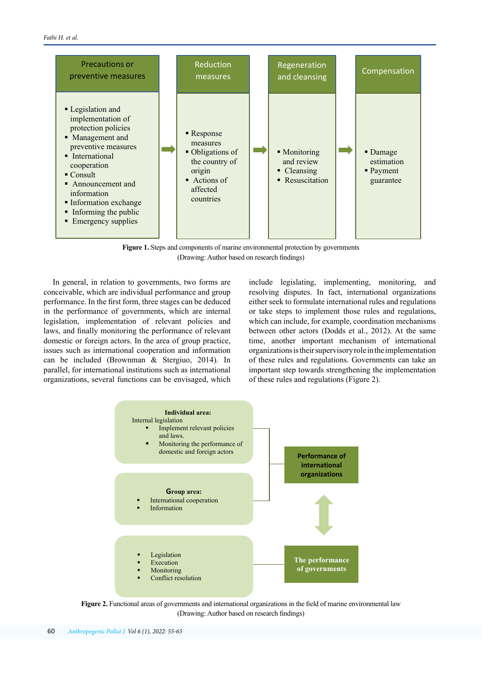

**Figure 1.** Steps and components of marine environmental protection by governments (Drawing: Author based on research findings)

In general, in relation to governments, two forms are conceivable, which are individual performance and group performance. In the first form, three stages can be deduced in the performance of governments, which are internal legislation, implementation of relevant policies and laws, and finally monitoring the performance of relevant domestic or foreign actors. In the area of group practice, issues such as international cooperation and information can be included (Brownman & Stergiuo, 2014). In parallel, for international institutions such as international organizations, several functions can be envisaged, which

include legislating, implementing, monitoring, and resolving disputes. In fact, international organizations either seek to formulate international rules and regulations or take steps to implement those rules and regulations, which can include, for example, coordination mechanisms between other actors (Dodds et al., 2012). At the same time, another important mechanism of international organizations is their supervisory role in the implementation of these rules and regulations. Governments can take an important step towards strengthening the implementation of these rules and regulations (Figure 2).



**Figure 2.** Functional areas of governments and international organizations in the field of marine environmental law (Drawing: Author based on research findings)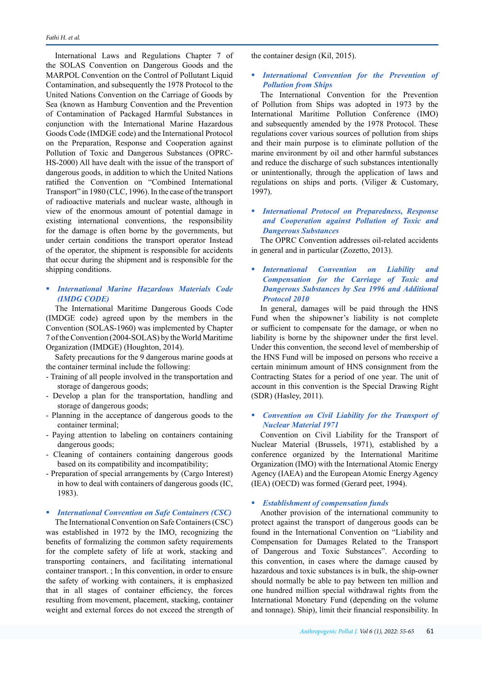International Laws and Regulations Chapter 7 of the SOLAS Convention on Dangerous Goods and the MARPOL Convention on the Control of Pollutant Liquid Contamination, and subsequently the 1978 Protocol to the United Nations Convention on the Carriage of Goods by Sea (known as Hamburg Convention and the Prevention of Contamination of Packaged Harmful Substances in conjunction with the International Marine Hazardous Goods Code (IMDGE code) and the International Protocol on the Preparation, Response and Cooperation against Pollution of Toxic and Dangerous Substances (OPRC-HS-2000) All have dealt with the issue of the transport of dangerous goods, in addition to which the United Nations ratified the Convention on "Combined International Transport" in 1980 (CLC, 1996). In the case of the transport of radioactive materials and nuclear waste, although in view of the enormous amount of potential damage in existing international conventions, the responsibility for the damage is often borne by the governments, but under certain conditions the transport operator Instead of the operator, the shipment is responsible for accidents that occur during the shipment and is responsible for the shipping conditions.

# *International Marine Hazardous Materials Code (IMDG CODE)*

The International Maritime Dangerous Goods Code (IMDGE code) agreed upon by the members in the Convention (SOLAS-1960) was implemented by Chapter 7 of the Convention (2004-SOLAS) by the World Maritime Organization (IMDGE) (Houghton, 2014).

Safety precautions for the 9 dangerous marine goods at the container terminal include the following:

- Training of all people involved in the transportation and storage of dangerous goods;
- Develop a plan for the transportation, handling and storage of dangerous goods;
- Planning in the acceptance of dangerous goods to the container terminal;
- Paying attention to labeling on containers containing dangerous goods;
- Cleaning of containers containing dangerous goods based on its compatibility and incompatibility;
- Preparation of special arrangements by (Cargo Interest) in how to deal with containers of dangerous goods (IC, 1983).
- *International Convention on Safe Containers (CSC)*  The International Convention on Safe Containers (CSC) was established in 1972 by the IMO, recognizing the benefits of formalizing the common safety requirements for the complete safety of life at work, stacking and transporting containers, and facilitating international container transport. ; In this convention, in order to ensure the safety of working with containers, it is emphasized that in all stages of container efficiency, the forces resulting from movement, placement, stacking, container weight and external forces do not exceed the strength of

the container design (Kil, 2015).

 *International Convention for the Prevention of Pollution from Ships*

The International Convention for the Prevention of Pollution from Ships was adopted in 1973 by the International Maritime Pollution Conference (IMO) and subsequently amended by the 1978 Protocol. These regulations cover various sources of pollution from ships and their main purpose is to eliminate pollution of the marine environment by oil and other harmful substances and reduce the discharge of such substances intentionally or unintentionally, through the application of laws and regulations on ships and ports. (Viliger & Customary, 1997).

 *International Protocol on Preparedness, Response and Cooperation against Pollution of Toxic and Dangerous Substances*

The OPRC Convention addresses oil-related accidents in general and in particular (Zozetto, 2013).

 *International Convention on Liability and Compensation for the Carriage of Toxic and Dangerous Substances by Sea 1996 and Additional Protocol 2010* 

In general, damages will be paid through the HNS Fund when the shipowner's liability is not complete or sufficient to compensate for the damage, or when no liability is borne by the shipowner under the first level. Under this convention, the second level of membership of the HNS Fund will be imposed on persons who receive a certain minimum amount of HNS consignment from the Contracting States for a period of one year. The unit of account in this convention is the Special Drawing Right (SDR) (Hasley, 2011).

# *Convention on Civil Liability for the Transport of Nuclear Material 1971*

Convention on Civil Liability for the Transport of Nuclear Material (Brussels, 1971), established by a conference organized by the International Maritime Organization (IMO) with the International Atomic Energy Agency (IAEA) and the European Atomic Energy Agency (IEA) (OECD) was formed (Gerard peet, 1994).

#### *Establishment of compensation funds*

Another provision of the international community to protect against the transport of dangerous goods can be found in the International Convention on "Liability and Compensation for Damages Related to the Transport of Dangerous and Toxic Substances". According to this convention, in cases where the damage caused by hazardous and toxic substances is in bulk, the ship-owner should normally be able to pay between ten million and one hundred million special withdrawal rights from the International Monetary Fund (depending on the volume and tonnage). Ship), limit their financial responsibility. In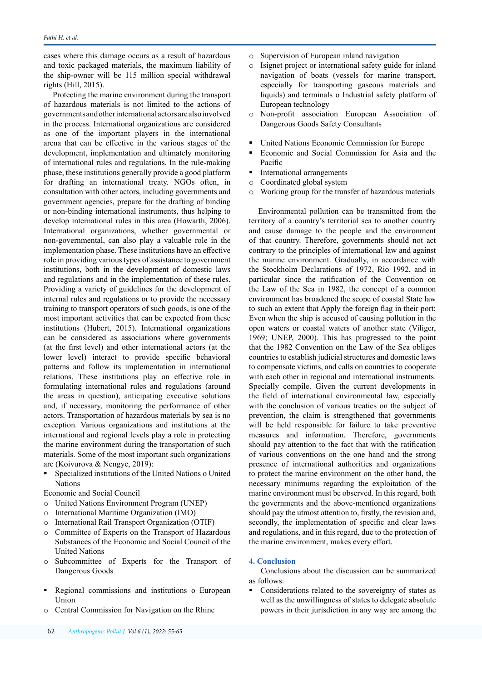cases where this damage occurs as a result of hazardous and toxic packaged materials, the maximum liability of the ship-owner will be 115 million special withdrawal rights (Hill, 2015).

Protecting the marine environment during the transport of hazardous materials is not limited to the actions of governments and other international actors are also involved in the process. International organizations are considered as one of the important players in the international arena that can be effective in the various stages of the development, implementation and ultimately monitoring of international rules and regulations. In the rule-making phase, these institutions generally provide a good platform for drafting an international treaty. NGOs often, in consultation with other actors, including governments and government agencies, prepare for the drafting of binding or non-binding international instruments, thus helping to develop international rules in this area (Howarth, 2006). International organizations, whether governmental or non-governmental, can also play a valuable role in the implementation phase. These institutions have an effective role in providing various types of assistance to government institutions, both in the development of domestic laws and regulations and in the implementation of these rules. Providing a variety of guidelines for the development of internal rules and regulations or to provide the necessary training to transport operators of such goods, is one of the most important activities that can be expected from these institutions (Hubert, 2015). International organizations can be considered as associations where governments (at the first level) and other international actors (at the lower level) interact to provide specific behavioral patterns and follow its implementation in international relations. These institutions play an effective role in formulating international rules and regulations (around the areas in question), anticipating executive solutions and, if necessary, monitoring the performance of other actors. Transportation of hazardous materials by sea is no exception. Various organizations and institutions at the international and regional levels play a role in protecting the marine environment during the transportation of such materials. Some of the most important such organizations are (Koivurova & Nengye, 2019):

 Specialized institutions of the United Nations o United Nations

Economic and Social Council

- o United Nations Environment Program (UNEP)
- o International Maritime Organization (IMO)
- o International Rail Transport Organization (OTIF)
- o Committee of Experts on the Transport of Hazardous Substances of the Economic and Social Council of the United Nations
- o Subcommittee of Experts for the Transport of Dangerous Goods
- Regional commissions and institutions o European Union
- o Central Commission for Navigation on the Rhine
- o Supervision of European inland navigation
- o Isignet project or international safety guide for inland navigation of boats (vessels for marine transport, especially for transporting gaseous materials and liquids) and terminals o Industrial safety platform of European technology
- o Non-profit association European Association of Dangerous Goods Safety Consultants
- United Nations Economic Commission for Europe
- Economic and Social Commission for Asia and the Pacific
- International arrangements
- o Coordinated global system
- o Working group for the transfer of hazardous materials

Environmental pollution can be transmitted from the territory of a country's territorial sea to another country and cause damage to the people and the environment of that country. Therefore, governments should not act contrary to the principles of international law and against the marine environment. Gradually, in accordance with the Stockholm Declarations of 1972, Rio 1992, and in particular since the ratification of the Convention on the Law of the Sea in 1982, the concept of a common environment has broadened the scope of coastal State law to such an extent that Apply the foreign flag in their port; Even when the ship is accused of causing pollution in the open waters or coastal waters of another state (Viliger, 1969; UNEP, 2000). This has progressed to the point that the 1982 Convention on the Law of the Sea obliges countries to establish judicial structures and domestic laws to compensate victims, and calls on countries to cooperate with each other in regional and international instruments. Specially compile. Given the current developments in the field of international environmental law, especially with the conclusion of various treaties on the subject of prevention, the claim is strengthened that governments will be held responsible for failure to take preventive measures and information. Therefore, governments should pay attention to the fact that with the ratification of various conventions on the one hand and the strong presence of international authorities and organizations to protect the marine environment on the other hand, the necessary minimums regarding the exploitation of the marine environment must be observed. In this regard, both the governments and the above-mentioned organizations should pay the utmost attention to, firstly, the revision and, secondly, the implementation of specific and clear laws and regulations, and in this regard, due to the protection of the marine environment, makes every effort.

## **4. Conclusion**

Conclusions about the discussion can be summarized as follows:

 Considerations related to the sovereignty of states as well as the unwillingness of states to delegate absolute powers in their jurisdiction in any way are among the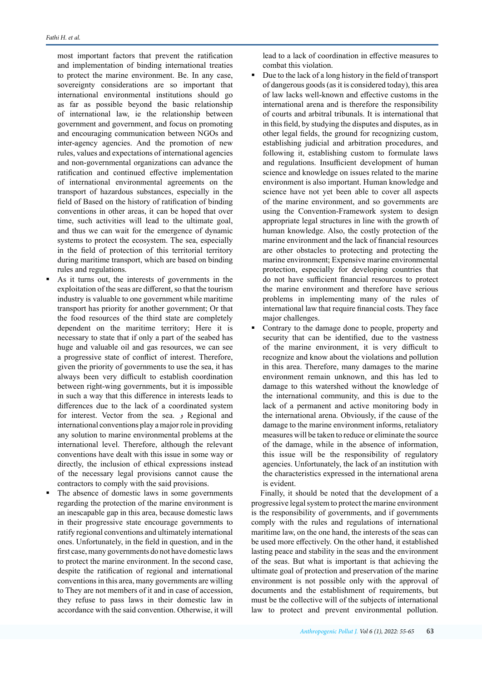most important factors that prevent the ratification and implementation of binding international treaties to protect the marine environment. Be. In any case, sovereignty considerations are so important that international environmental institutions should go as far as possible beyond the basic relationship of international law, ie the relationship between government and government, and focus on promoting and encouraging communication between NGOs and inter-agency agencies. And the promotion of new rules, values and expectations of international agencies and non-governmental organizations can advance the ratification and continued effective implementation of international environmental agreements on the transport of hazardous substances, especially in the field of Based on the history of ratification of binding conventions in other areas, it can be hoped that over time, such activities will lead to the ultimate goal, and thus we can wait for the emergence of dynamic systems to protect the ecosystem. The sea, especially in the field of protection of this territorial territory during maritime transport, which are based on binding rules and regulations.

- As it turns out, the interests of governments in the exploitation of the seas are different, so that the tourism industry is valuable to one government while maritime transport has priority for another government; Or that the food resources of the third state are completely dependent on the maritime territory; Here it is necessary to state that if only a part of the seabed has huge and valuable oil and gas resources, we can see a progressive state of conflict of interest. Therefore, given the priority of governments to use the sea, it has always been very difficult to establish coordination between right-wing governments, but it is impossible in such a way that this difference in interests leads to differences due to the lack of a coordinated system for interest. Vector from the sea. و Regional and international conventions play a major role in providing any solution to marine environmental problems at the international level. Therefore, although the relevant conventions have dealt with this issue in some way or directly, the inclusion of ethical expressions instead of the necessary legal provisions cannot cause the contractors to comply with the said provisions.
- The absence of domestic laws in some governments regarding the protection of the marine environment is an inescapable gap in this area, because domestic laws in their progressive state encourage governments to ratify regional conventions and ultimately international ones. Unfortunately, in the field in question, and in the first case, many governments do not have domestic laws to protect the marine environment. In the second case, despite the ratification of regional and international conventions in this area, many governments are willing to They are not members of it and in case of accession, they refuse to pass laws in their domestic law in accordance with the said convention. Otherwise, it will

lead to a lack of coordination in effective measures to combat this violation.

- Due to the lack of a long history in the field of transport of dangerous goods (as it is considered today), this area of law lacks well-known and effective customs in the international arena and is therefore the responsibility of courts and arbitral tribunals. It is international that in this field, by studying the disputes and disputes, as in other legal fields, the ground for recognizing custom, establishing judicial and arbitration procedures, and following it, establishing custom to formulate laws and regulations. Insufficient development of human science and knowledge on issues related to the marine environment is also important. Human knowledge and science have not yet been able to cover all aspects of the marine environment, and so governments are using the Convention-Framework system to design appropriate legal structures in line with the growth of human knowledge. Also, the costly protection of the marine environment and the lack of financial resources are other obstacles to protecting and protecting the marine environment; Expensive marine environmental protection, especially for developing countries that do not have sufficient financial resources to protect the marine environment and therefore have serious problems in implementing many of the rules of international law that require financial costs. They face major challenges.
- Contrary to the damage done to people, property and security that can be identified, due to the vastness of the marine environment, it is very difficult to recognize and know about the violations and pollution in this area. Therefore, many damages to the marine environment remain unknown, and this has led to damage to this watershed without the knowledge of the international community, and this is due to the lack of a permanent and active monitoring body in the international arena. Obviously, if the cause of the damage to the marine environment informs, retaliatory measures will be taken to reduce or eliminate the source of the damage, while in the absence of information, this issue will be the responsibility of regulatory agencies. Unfortunately, the lack of an institution with the characteristics expressed in the international arena is evident.

Finally, it should be noted that the development of a progressive legal system to protect the marine environment is the responsibility of governments, and if governments comply with the rules and regulations of international maritime law, on the one hand, the interests of the seas can be used more effectively. On the other hand, it established lasting peace and stability in the seas and the environment of the seas. But what is important is that achieving the ultimate goal of protection and preservation of the marine environment is not possible only with the approval of documents and the establishment of requirements, but must be the collective will of the subjects of international law to protect and prevent environmental pollution.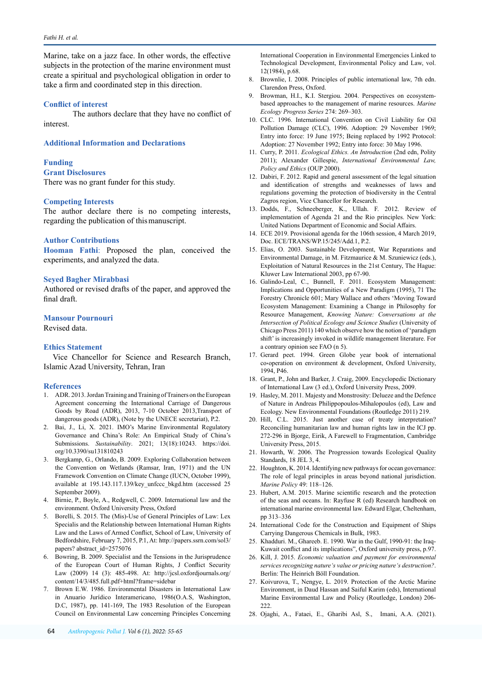Marine, take on a jazz face. In other words, the effective subjects in the protection of the marine environment must create a spiritual and psychological obligation in order to take a firm and coordinated step in this direction.

## **Conflict of interest**

The authors declare that they have no conflict of interest.

#### **Additional Information and Declarations**

#### **Funding**

## **Grant Disclosures**

There was no grant funder for this study.

#### **Competing Interests**

The author declare there is no competing interests, regarding the publication of this manuscript.

#### **Author Contributions**

**Hooman Fathi**: Proposed the plan, conceived the experiments, and analyzed the data.

#### **Seyed Bagher Mirabbasi**

Authored or revised drafts of the paper, and approved the final draft.

#### **Mansour Pournouri**

Revised data.

#### **Ethics Statement**

Vice Chancellor for Science and Research Branch, Islamic Azad University, Tehran, Iran

## **References**

- 1. ADR. 2013. Jordan Training and Training of Trainers on the European Agreement concerning the International Carriage of Dangerous Goods by Road (ADR), 2013, 7-10 October 2013,Transport of dangerous goods (ADR), (Note by the UNECE secretariat), P.2.
- 2. Bai, J., Li, X. 2021. IMO's Marine Environmental Regulatory Governance and China's Role: An Empirical Study of China's Submissions. *Sustainability*. 2021; 13(18):10243. [https://doi.](https://doi.org/10.3390/su131810243) [org/10.3390/su131810243](https://doi.org/10.3390/su131810243)
- 3. Bergkamp, G., Orlando, B. 2009. Exploring Collaboration between the Convention on Wetlands (Ramsar, Iran, 1971) and the UN Framework Convention on Climate Change (IUCN, October 1999), available at [195.143.117.139/key\\_unfccc\\_bkgd.htm](http://195.143.117.139/key_unfccc_bkgd.htm) (accessed 25 September 2009).
- 4. Birnie, P., Boyle, A., Redgwell, C. 2009. International law and the environment. Oxford University Press, Oxford
- 5. Borelli, S. 2015. The (Mis)-Use of General Principles of Law: Lex Specialis and the Relationship between International Human Rights Law and the Laws of Armed Conflict, School of Law, University of Bedfordshire, February 7, 2015, P.1, At: http://papers.ssrn.com/sol3/ papers? abstract\_id=2575076
- 6. Bowring, B. 2009. Specialist and the Tensions in the Jurisprudence of the European Court of Human Rights, J Conflict Security Law (2009) 14 (3): 485-498. At: [http://jcsl.oxfordjournals.org/](http://jcsl.oxfordjournals.org/content/14/3/485.full.pdf+html?frame=sidebar) [content/14/3/485.full.pdf+html?frame=sidebar](http://jcsl.oxfordjournals.org/content/14/3/485.full.pdf+html?frame=sidebar)
- 7. Brown E.W. 1986. Environmental Disasters in International Law in Anuario Jurídico Interamericano, 1986(O.A.S, Washington, D.C, 1987), pp. 141-169, The 1983 Resolution of the European Council on Environmental Law concerning Principles Concerning

International Cooperation in Environmental Emergencies Linked to Technological Development, Environmental Policy and Law, vol. 12(1984), p.68.

- 8. Brownlie, I. 2008. Principles of public international law, 7th edn. Clarendon Press, Oxford.
- Browman, H.I., K.I. Stergiou. 2004. Perspectives on ecosystembased approaches to the management of marine resources. *Marine Ecology Progress Series* 274: 269–303.
- 10. CLC. 1996. International Convention on Civil Liability for Oil Pollution Damage (CLC), 1996. Adoption: 29 November 1969; Entry into force: 19 June 1975; Being replaced by 1992 Protocol: Adoption: 27 November 1992; Entry into force: 30 May 1996.
- 11. Curry, P. 2011. *Ecological Ethics. An Introduction* (2nd edn, Polity 2011); Alexander Gillespie, *International Environmental Law, Policy and Ethics* (OUP 2000).
- 12. Dabiri, F. 2012. Rapid and general assessment of the legal situation and identification of strengths and weaknesses of laws and regulations governing the protection of biodiversity in the Central Zagros region, Vice Chancellor for Research.
- 13. Dodds, F., Schneeberger, K., Ullah. F. 2012. Review of implementation of Agenda 21 and the Rio principles. New York: United Nations Department of Economic and Social Affairs.
- 14. ECE 2019. Provisional agenda for the 106th session, 4 March 2019, Doc. ECE/TRANS/WP.15/245/Add.1, P.2.
- 15. Elias, O. 2003. Sustainable Development, War Reparations and Environmental Damage, in M. Fitzmaurice & M. Szuniewicz (eds.), Exploitation of Natural Resources in the 21st Century, The Hague: Kluwer Law International 2003, pp 67-90.
- 16. Galindo-Leal, C., Bunnell, F. 2011. Ecosystem Management: Implications and Opportunities of a New Paradigm (1995), 71 The Forestry Chronicle 601; Mary Wallace and others 'Moving Toward Ecosystem Management: Examining a Change in Philosophy for Resource Management, *Knowing Nature: Conversations at the Intersection of Political Ecology and Science Studies* (University of Chicago Press 2011) 140 which observe how the notion of 'paradigm shift' is increasingly invoked in wildlife management literature. For a contrary opinion see FAO (n 5).
- 17. Gerard peet. 1994. Green Globe year book of international co،operation on environment & development, Oxford University, 1994, P46.
- 18. Grant, P., John and Barker, J. Craig, 2009. Encyclopedic Dictionary of International Law (3 ed.), Oxford University Press, 2009.
- 19. Hasley, M. 2011. Majesty and Monstrosity: Delueze and the Defence of Nature in Andreas Philippopoulos-Mihalopoulos (ed), Law and Ecology. New Environmental Foundations (Routledge 2011) 219.
- 20. Hill, C.L. 2015. Just another case of treaty interpretation? Reconciling humanitarian law and human rights law in the ICJ pp. 272-296 in Bjorge, Eirik, A Farewell to Fragmentation, Cambridge University Press, 2015.
- 21. Howarth, W. 2006. The Progression towards Ecological Quality Standards, 18 JEL 3, 4.
- 22. Houghton, K. 2014. Identifying new pathways for ocean governance: The role of legal principles in areas beyond national jurisdiction. *Marine Policy* 49: 118–126.
- 23. Hubert, A.M. 2015. Marine scientific research and the protection of the seas and oceans. In: Rayfuse R (ed) Research handbook on international marine environmental law. Edward Elgar, Cheltenham, pp 313–336
- 24. International Code for the Construction and Equipment of Ships Carrying Dangerous Chemicals in Bulk, 1983.
- 25. Khadduri. M., Ghareeb. E. 1990. War in the Gulf, 1990-91: the Iraq-Kuwait conflict and its implications", Oxford university press, p.97.
- 26. Kill, J. 2015. *Economic valuation and payment for environmental services recognizing nature's value or pricing nature's destruction?*. Berlin: The Heinrich Böll Foundation.
- 27. Koivurova, T., Nengye, L. 2019. Protection of the Arctic Marine Environment, in Daud Hassan and Saiful Karim (eds), International Marine Environmental Law and Policy (Routledge, London) 206- 222.
- 28. Ojaghi, A., Fataei, E., Gharibi Asl, S., Imani, A.A. (2021).